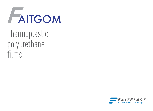

Thermoplastic polyurethane films

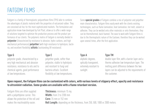## FAITGOM FILMS

Faitgom is a family of thermoplastic polyurethane films (TPU) able to combine the advantages of plastic material with the properties of vulcanized rubber. They are conceived ad-hoc for the most sophisticated markets. The formulation and application know-how developed by Fait Plast, allow us to offer a wide range of solutions targeted to optimize the production process and the product performance of our clients. The polymeric matrix of Faitgom is normally divided in **polyester** (characterized by resistance to abrasion, hydro-carbons, and high mechanical performances) **polyether** (with high resistance to hydrolysis, bacteria, and excellent flexibility) **alifatic** (outstanding UV resistance).

#### **Type G**

polyester grade, characterized by a very high mechanical and abrasion resistance, resistance to oils and to chemical agents, good performance at low temperatures.

### **Type E**

polyether grade, softer than polyester, stable to hydrolysis and resistant to fungi and bacteria attack. Excellent flexibility at low temperatures. Some **special grades** of Faitgom combine a mix of polyester and polyether main characteristics. Faitgom films easily work with the clients existing technologies, such as flame lamination, heat lamination, hot melt, solvent or adhesive. They can be welded onto other materials or onto themselves; they can be thermoformed, back foamed. The ease to work with Faitgom films is due to the thermoplastic nature of the Eastover, therefore they can be worked upon several times, after the first application.

### **Type A** aliphatic degrees, optically transparent, extremely resistant to

sunlight.

### **Type TM**

double layer film, with a barrier layer and a thermo adhesive low temperature layer. The melting point difference between the two layers can be adjusted to the requirements of the customer.

Upon request, the Faitgom films can be customized with colors, with various levels of slippery effect, opacity and resistance to ultraviolet radiation. Some grades are available with a flame retardant version.

Faitgom films are often supplied with a polyethylene carrier. This allows the protection of the roll and makes the machinability easier.

**Thickness:** minimum 15 my. **Width:** from 3 to 2200 mm **Core:** 76 mm or 152 mm **Roll Length:** depending on the thickness, from 250, 500, 1000 or 2000 meters.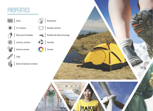# PROPERTIES







Water proof & breathable



Q.



Abrasion resistance



Bacteria & hydrolysis resistance



 $M$ Washable resistance

Weldable with different tecnology

 $\textbf{Recictable} % \begin{minipage}[c]{0.5\linewidth} \centering \includegraphics[width=\textwidth]{figures/cdf} \end{minipage} % \vspace{-1em} \caption{The \textit{Cov} of the \textit{Cov} model, the \textit{Cov} model, the \textit{Cov} model, the \textit{Cov} model, the \textit{Cov} model, the \textit{Cov} model, the \textit{Cov} model, the \textit{Cov} model, the \textit{Cov} model, the \textit{Cov} model, the \textit{Cov} model, the \textit{Cov} model, the \textit{Cov} model, the \textit{Cov} model, the \textit{Cov} model, the \text$ 

 $\label{thm:colorable} \textbf{Colorable}$ 

Tough